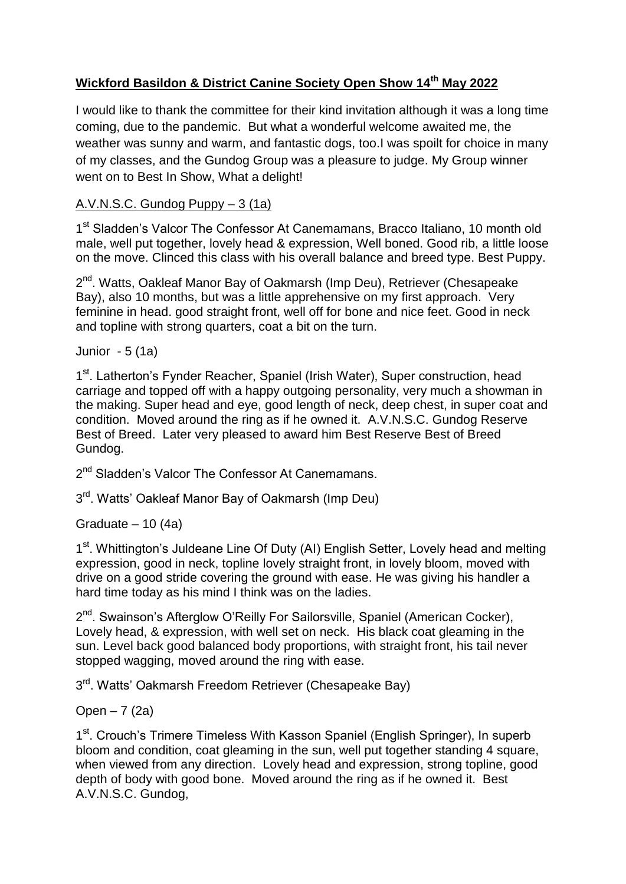# **Wickford Basildon & District Canine Society Open Show 14th May 2022**

I would like to thank the committee for their kind invitation although it was a long time coming, due to the pandemic. But what a wonderful welcome awaited me, the weather was sunny and warm, and fantastic dogs, too.I was spoilt for choice in many of my classes, and the Gundog Group was a pleasure to judge. My Group winner went on to Best In Show, What a delight!

## A.V.N.S.C. Gundog Puppy – 3 (1a)

1<sup>st</sup> Sladden's Valcor The Confessor At Canemamans, Bracco Italiano, 10 month old male, well put together, lovely head & expression, Well boned. Good rib, a little loose on the move. Clinced this class with his overall balance and breed type. Best Puppy.

2<sup>nd</sup>. Watts, Oakleaf Manor Bay of Oakmarsh (Imp Deu), Retriever (Chesapeake Bay), also 10 months, but was a little apprehensive on my first approach. Very feminine in head. good straight front, well off for bone and nice feet. Good in neck and topline with strong quarters, coat a bit on the turn.

Junior - 5 (1a)

1<sup>st</sup>. Latherton's Fynder Reacher, Spaniel (Irish Water), Super construction, head carriage and topped off with a happy outgoing personality, very much a showman in the making. Super head and eye, good length of neck, deep chest, in super coat and condition. Moved around the ring as if he owned it. A.V.N.S.C. Gundog Reserve Best of Breed. Later very pleased to award him Best Reserve Best of Breed Gundog.

2<sup>nd</sup> Sladden's Valcor The Confessor At Canemamans.

3<sup>rd</sup>. Watts' Oakleaf Manor Bay of Oakmarsh (Imp Deu)

Graduate  $-10(4a)$ 

1<sup>st</sup>. Whittington's Juldeane Line Of Duty (AI) English Setter, Lovely head and melting expression, good in neck, topline lovely straight front, in lovely bloom, moved with drive on a good stride covering the ground with ease. He was giving his handler a hard time today as his mind I think was on the ladies.

2<sup>nd</sup>. Swainson's Afterglow O'Reilly For Sailorsville, Spaniel (American Cocker), Lovely head, & expression, with well set on neck. His black coat gleaming in the sun. Level back good balanced body proportions, with straight front, his tail never stopped wagging, moved around the ring with ease.

3<sup>rd</sup>. Watts' Oakmarsh Freedom Retriever (Chesapeake Bay)

Open  $-7(2a)$ 

1<sup>st</sup>. Crouch's Trimere Timeless With Kasson Spaniel (English Springer), In superb bloom and condition, coat gleaming in the sun, well put together standing 4 square, when viewed from any direction. Lovely head and expression, strong topline, good depth of body with good bone. Moved around the ring as if he owned it. Best A.V.N.S.C. Gundog,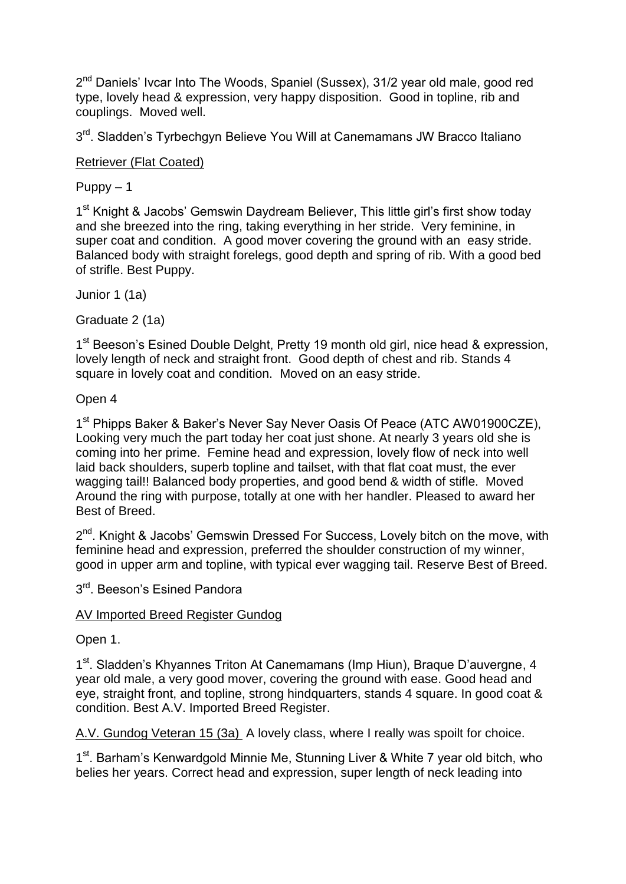2<sup>nd</sup> Daniels' Ivcar Into The Woods, Spaniel (Sussex), 31/2 year old male, good red type, lovely head & expression, very happy disposition. Good in topline, rib and couplings. Moved well.

3<sup>rd</sup>. Sladden's Tyrbechgyn Believe You Will at Canemamans JW Bracco Italiano

Retriever (Flat Coated)

 $Puppy - 1$ 

1<sup>st</sup> Knight & Jacobs' Gemswin Daydream Believer, This little girl's first show today and she breezed into the ring, taking everything in her stride. Very feminine, in super coat and condition. A good mover covering the ground with an easy stride. Balanced body with straight forelegs, good depth and spring of rib. With a good bed of strifle. Best Puppy.

Junior 1 (1a)

Graduate 2 (1a)

1<sup>st</sup> Beeson's Esined Double Delght, Pretty 19 month old girl, nice head & expression, lovely length of neck and straight front. Good depth of chest and rib. Stands 4 square in lovely coat and condition. Moved on an easy stride.

Open 4

1<sup>st</sup> Phipps Baker & Baker's Never Say Never Oasis Of Peace (ATC AW01900CZE), Looking very much the part today her coat just shone. At nearly 3 years old she is coming into her prime. Femine head and expression, lovely flow of neck into well laid back shoulders, superb topline and tailset, with that flat coat must, the ever wagging tail!! Balanced body properties, and good bend & width of stifle. Moved Around the ring with purpose, totally at one with her handler. Pleased to award her Best of Breed.

2<sup>nd</sup>. Knight & Jacobs' Gemswin Dressed For Success, Lovely bitch on the move, with feminine head and expression, preferred the shoulder construction of my winner, good in upper arm and topline, with typical ever wagging tail. Reserve Best of Breed.

3<sup>rd</sup>. Beeson's Esined Pandora

#### AV Imported Breed Register Gundog

Open 1.

1<sup>st</sup>. Sladden's Khyannes Triton At Canemamans (Imp Hiun), Braque D'auvergne, 4 year old male, a very good mover, covering the ground with ease. Good head and eye, straight front, and topline, strong hindquarters, stands 4 square. In good coat & condition. Best A.V. Imported Breed Register.

A.V. Gundog Veteran 15 (3a) A lovely class, where I really was spoilt for choice.

1<sup>st</sup>. Barham's Kenwardgold Minnie Me, Stunning Liver & White 7 year old bitch, who belies her years. Correct head and expression, super length of neck leading into